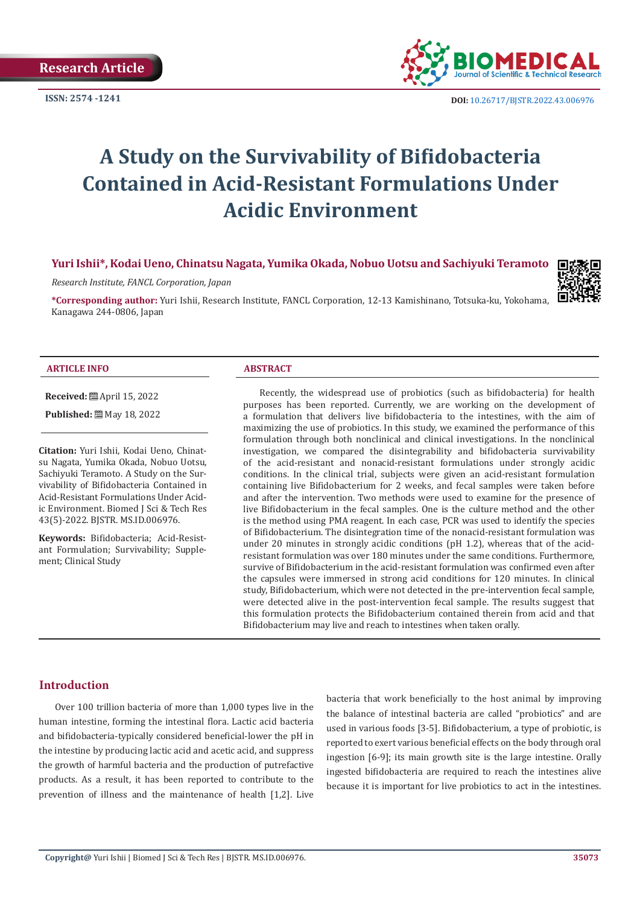

# **A Study on the Survivability of Bifidobacteria Contained in Acid-Resistant Formulations Under Acidic Environment**

### **Yuri Ishii\*, Kodai Ueno, Chinatsu Nagata, Yumika Okada, Nobuo Uotsu and Sachiyuki Teramoto**

*Research Institute, FANCL Corporation, Japan*

**\*Corresponding author:** Yuri Ishii, Research Institute, FANCL Corporation, 12-13 Kamishinano, Totsuka-ku, Yokohama, Kanagawa 244-0806, Japan



#### **ARTICLE INFO ABSTRACT**

**Received:** April 15, 2022

**Published:** May 18, 2022

**Citation:** Yuri Ishii, Kodai Ueno, Chinatsu Nagata, Yumika Okada, Nobuo Uotsu, Sachiyuki Teramoto. A Study on the Survivability of Bifidobacteria Contained in Acid-Resistant Formulations Under Acidic Environment. Biomed J Sci & Tech Res 43(5)-2022. BJSTR. MS.ID.006976.

**Keywords:** Bifidobacteria; Acid-Resistant Formulation; Survivability; Supplement; Clinical Study

Recently, the widespread use of probiotics (such as bifidobacteria) for health purposes has been reported. Currently, we are working on the development of a formulation that delivers live bifidobacteria to the intestines, with the aim of maximizing the use of probiotics. In this study, we examined the performance of this formulation through both nonclinical and clinical investigations. In the nonclinical investigation, we compared the disintegrability and bifidobacteria survivability of the acid-resistant and nonacid-resistant formulations under strongly acidic conditions. In the clinical trial, subjects were given an acid-resistant formulation containing live Bifidobacterium for 2 weeks, and fecal samples were taken before and after the intervention. Two methods were used to examine for the presence of live Bifidobacterium in the fecal samples. One is the culture method and the other is the method using PMA reagent. In each case, PCR was used to identify the species of Bifidobacterium. The disintegration time of the nonacid-resistant formulation was under 20 minutes in strongly acidic conditions (pH 1.2), whereas that of the acidresistant formulation was over 180 minutes under the same conditions. Furthermore, survive of Bifidobacterium in the acid-resistant formulation was confirmed even after the capsules were immersed in strong acid conditions for 120 minutes. In clinical study, Bifidobacterium, which were not detected in the pre-intervention fecal sample, were detected alive in the post-intervention fecal sample. The results suggest that this formulation protects the Bifidobacterium contained therein from acid and that Bifidobacterium may live and reach to intestines when taken orally.

#### **Introduction**

Over 100 trillion bacteria of more than 1,000 types live in the human intestine, forming the intestinal flora. Lactic acid bacteria and bifidobacteria-typically considered beneficial-lower the pH in the intestine by producing lactic acid and acetic acid, and suppress the growth of harmful bacteria and the production of putrefactive products. As a result, it has been reported to contribute to the prevention of illness and the maintenance of health [1,2]. Live

bacteria that work beneficially to the host animal by improving the balance of intestinal bacteria are called "probiotics" and are used in various foods [3-5]. Bifidobacterium, a type of probiotic, is reported to exert various beneficial effects on the body through oral ingestion [6-9]; its main growth site is the large intestine. Orally ingested bifidobacteria are required to reach the intestines alive because it is important for live probiotics to act in the intestines.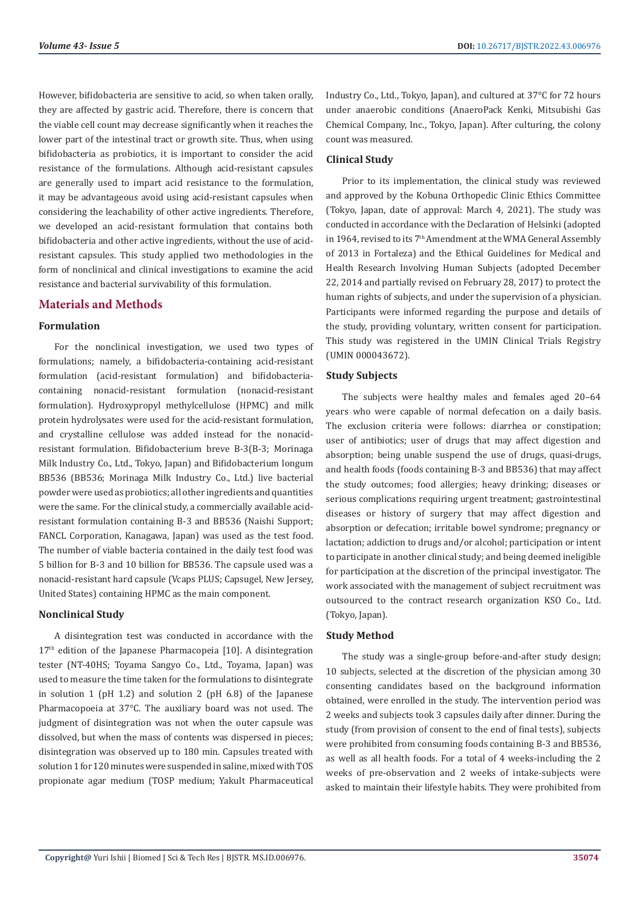However, bifidobacteria are sensitive to acid, so when taken orally, they are affected by gastric acid. Therefore, there is concern that the viable cell count may decrease significantly when it reaches the lower part of the intestinal tract or growth site. Thus, when using bifidobacteria as probiotics, it is important to consider the acid resistance of the formulations. Although acid-resistant capsules are generally used to impart acid resistance to the formulation, it may be advantageous avoid using acid-resistant capsules when considering the leachability of other active ingredients. Therefore, we developed an acid-resistant formulation that contains both bifidobacteria and other active ingredients, without the use of acidresistant capsules. This study applied two methodologies in the form of nonclinical and clinical investigations to examine the acid resistance and bacterial survivability of this formulation.

# **Materials and Methods**

## **Formulation**

For the nonclinical investigation, we used two types of formulations; namely, a bifidobacteria-containing acid-resistant formulation (acid-resistant formulation) and bifidobacteriacontaining nonacid-resistant formulation (nonacid-resistant formulation). Hydroxypropyl methylcellulose (HPMC) and milk protein hydrolysates were used for the acid-resistant formulation, and crystalline cellulose was added instead for the nonacidresistant formulation. Bifidobacterium breve B-3(B-3; Morinaga Milk Industry Co., Ltd., Tokyo, Japan) and Bifidobacterium longum BB536 (BB536; Morinaga Milk Industry Co., Ltd.) live bacterial powder were used as probiotics; all other ingredients and quantities were the same. For the clinical study, a commercially available acidresistant formulation containing B-3 and BB536 (Naishi Support; FANCL Corporation, Kanagawa, Japan) was used as the test food. The number of viable bacteria contained in the daily test food was 5 billion for B-3 and 10 billion for BB536. The capsule used was a nonacid-resistant hard capsule (Vcaps PLUS; Capsugel, New Jersey, United States) containing HPMC as the main component.

#### **Nonclinical Study**

A disintegration test was conducted in accordance with the 17<sup>th</sup> edition of the Japanese Pharmacopeia [10]. A disintegration tester (NT-40HS; Toyama Sangyo Co., Ltd., Toyama, Japan) was used to measure the time taken for the formulations to disintegrate in solution 1 (pH 1.2) and solution 2 (pH 6.8) of the Japanese Pharmacopoeia at 37°C. The auxiliary board was not used. The judgment of disintegration was not when the outer capsule was dissolved, but when the mass of contents was dispersed in pieces; disintegration was observed up to 180 min. Capsules treated with solution 1 for 120 minutes were suspended in saline, mixed with TOS propionate agar medium (TOSP medium; Yakult Pharmaceutical Industry Co., Ltd., Tokyo, Japan), and cultured at 37°C for 72 hours under anaerobic conditions (AnaeroPack Kenki, Mitsubishi Gas Chemical Company, Inc., Tokyo, Japan). After culturing, the colony count was measured.

## **Clinical Study**

Prior to its implementation, the clinical study was reviewed and approved by the Kobuna Orthopedic Clinic Ethics Committee (Tokyo, Japan, date of approval: March 4, 2021). The study was conducted in accordance with the Declaration of Helsinki (adopted in 1964, revised to its 7<sup>th</sup> Amendment at the WMA General Assembly of 2013 in Fortaleza) and the Ethical Guidelines for Medical and Health Research Involving Human Subjects (adopted December 22, 2014 and partially revised on February 28, 2017) to protect the human rights of subjects, and under the supervision of a physician. Participants were informed regarding the purpose and details of the study, providing voluntary, written consent for participation. This study was registered in the UMIN Clinical Trials Registry (UMIN 000043672).

#### **Study Subjects**

The subjects were healthy males and females aged 20–64 years who were capable of normal defecation on a daily basis. The exclusion criteria were follows: diarrhea or constipation; user of antibiotics; user of drugs that may affect digestion and absorption; being unable suspend the use of drugs, quasi-drugs, and health foods (foods containing B-3 and BB536) that may affect the study outcomes; food allergies; heavy drinking; diseases or serious complications requiring urgent treatment; gastrointestinal diseases or history of surgery that may affect digestion and absorption or defecation; irritable bowel syndrome; pregnancy or lactation; addiction to drugs and/or alcohol; participation or intent to participate in another clinical study; and being deemed ineligible for participation at the discretion of the principal investigator. The work associated with the management of subject recruitment was outsourced to the contract research organization KSO Co., Ltd. (Tokyo, Japan).

#### **Study Method**

The study was a single-group before-and-after study design; 10 subjects, selected at the discretion of the physician among 30 consenting candidates based on the background information obtained, were enrolled in the study. The intervention period was 2 weeks and subjects took 3 capsules daily after dinner. During the study (from provision of consent to the end of final tests), subjects were prohibited from consuming foods containing B-3 and BB536, as well as all health foods. For a total of 4 weeks-including the 2 weeks of pre-observation and 2 weeks of intake-subjects were asked to maintain their lifestyle habits. They were prohibited from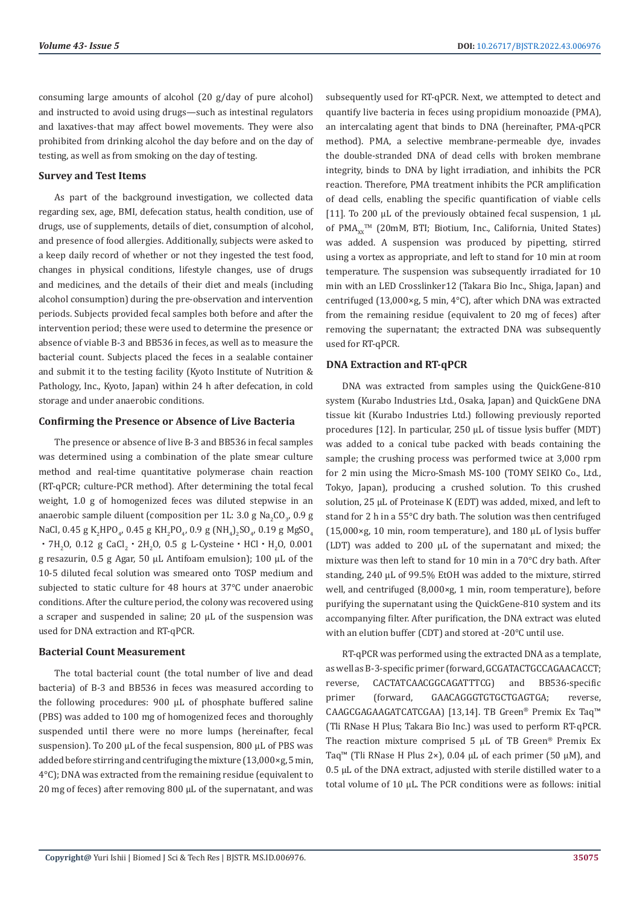consuming large amounts of alcohol (20 g/day of pure alcohol) and instructed to avoid using drugs—such as intestinal regulators and laxatives-that may affect bowel movements. They were also prohibited from drinking alcohol the day before and on the day of testing, as well as from smoking on the day of testing.

#### **Survey and Test Items**

As part of the background investigation, we collected data regarding sex, age, BMI, defecation status, health condition, use of drugs, use of supplements, details of diet, consumption of alcohol, and presence of food allergies. Additionally, subjects were asked to a keep daily record of whether or not they ingested the test food, changes in physical conditions, lifestyle changes, use of drugs and medicines, and the details of their diet and meals (including alcohol consumption) during the pre-observation and intervention periods. Subjects provided fecal samples both before and after the intervention period; these were used to determine the presence or absence of viable B-3 and BB536 in feces, as well as to measure the bacterial count. Subjects placed the feces in a sealable container and submit it to the testing facility (Kyoto Institute of Nutrition & Pathology, Inc., Kyoto, Japan) within 24 h after defecation, in cold storage and under anaerobic conditions.

#### **Confirming the Presence or Absence of Live Bacteria**

The presence or absence of live B-3 and BB536 in fecal samples was determined using a combination of the plate smear culture method and real-time quantitative polymerase chain reaction (RT-qPCR; culture-PCR method). After determining the total fecal weight, 1.0 g of homogenized feces was diluted stepwise in an anaerobic sample diluent (composition per 1L: 3.0 g Na<sub>2</sub>CO<sub>3</sub>, 0.9 g NaCl, 0.45 g K<sub>2</sub>HPO<sub>4</sub>, 0.45 g KH<sub>2</sub>PO<sub>4</sub>, 0.9 g (NH<sub>4</sub>)<sub>2</sub>SO<sub>4</sub>, 0.19 g MgSO<sub>4</sub>  $\cdot$  7H^2O, 0.12 g CaCl^2  $\cdot$  2H^2O, 0.5 g L-Cysteine  $\cdot$  HCl  $\cdot$  H^2O, 0.001 g resazurin, 0.5 g Agar, 50 µL Antifoam emulsion); 100 µL of the 10-5 diluted fecal solution was smeared onto TOSP medium and subjected to static culture for 48 hours at 37℃ under anaerobic conditions. After the culture period, the colony was recovered using a scraper and suspended in saline; 20 µL of the suspension was used for DNA extraction and RT-qPCR.

#### **Bacterial Count Measurement**

The total bacterial count (the total number of live and dead bacteria) of B-3 and BB536 in feces was measured according to the following procedures: 900 µL of phosphate buffered saline (PBS) was added to 100 mg of homogenized feces and thoroughly suspended until there were no more lumps (hereinafter, fecal suspension). To 200 µL of the fecal suspension, 800 µL of PBS was added before stirring and centrifuging the mixture (13,000×g, 5 min, 4°C); DNA was extracted from the remaining residue (equivalent to 20 mg of feces) after removing 800 µL of the supernatant, and was subsequently used for RT-qPCR. Next, we attempted to detect and quantify live bacteria in feces using propidium monoazide (PMA), an intercalating agent that binds to DNA (hereinafter, PMA-qPCR method). PMA, a selective membrane-permeable dye, invades the double-stranded DNA of dead cells with broken membrane integrity, binds to DNA by light irradiation, and inhibits the PCR reaction. Therefore, PMA treatment inhibits the PCR amplification of dead cells, enabling the specific quantification of viable cells [11]. To 200 µL of the previously obtained fecal suspension, 1 µL of  $PMA_{xx}$ <sup> $M$ </sup> (20mM, BTI; Biotium, Inc., California, United States) was added. A suspension was produced by pipetting, stirred using a vortex as appropriate, and left to stand for 10 min at room temperature. The suspension was subsequently irradiated for 10 min with an LED Crosslinker12 (Takara Bio Inc., Shiga, Japan) and centrifuged (13,000×g, 5 min, 4°C), after which DNA was extracted from the remaining residue (equivalent to 20 mg of feces) after removing the supernatant; the extracted DNA was subsequently used for RT-qPCR.

#### **DNA Extraction and RT-qPCR**

DNA was extracted from samples using the QuickGene-810 system (Kurabo Industries Ltd., Osaka, Japan) and QuickGene DNA tissue kit (Kurabo Industries Ltd.) following previously reported procedures [12]. In particular, 250 µL of tissue lysis buffer (MDT) was added to a conical tube packed with beads containing the sample; the crushing process was performed twice at 3,000 rpm for 2 min using the Micro-Smash MS-100 (TOMY SEIKO Co., Ltd., Tokyo, Japan), producing a crushed solution. To this crushed solution, 25 µL of Proteinase K (EDT) was added, mixed, and left to stand for 2 h in a 55°C dry bath. The solution was then centrifuged  $(15,000 \times g, 10 \text{ min.}$  room temperature), and 180  $\mu$ L of lysis buffer (LDT) was added to 200 µL of the supernatant and mixed; the mixture was then left to stand for 10 min in a 70°C dry bath. After standing, 240 µL of 99.5% EtOH was added to the mixture, stirred well, and centrifuged (8,000×g, 1 min, room temperature), before purifying the supernatant using the QuickGene-810 system and its accompanying filter. After purification, the DNA extract was eluted with an elution buffer (CDT) and stored at -20°C until use.

RT-qPCR was performed using the extracted DNA as a template, as well as B-3-specific primer (forward, GCGATACTGCCAGAACACCT; reverse, CACTATCAACGGCAGATTTCG) and BB536-specific primer (forward, GAACAGGGTGTGCTGAGTGA; reverse, CAAGCGAGAAGATCATCGAA) [13,14]. TB Green® Premix Ex Taq™ (Tli RNase H Plus; Takara Bio Inc.) was used to perform RT-qPCR. The reaction mixture comprised 5 µL of TB Green® Premix Ex Taq™ (Tli RNase H Plus 2×), 0.04 µL of each primer (50 µM), and 0.5 µL of the DNA extract, adjusted with sterile distilled water to a total volume of 10 µL. The PCR conditions were as follows: initial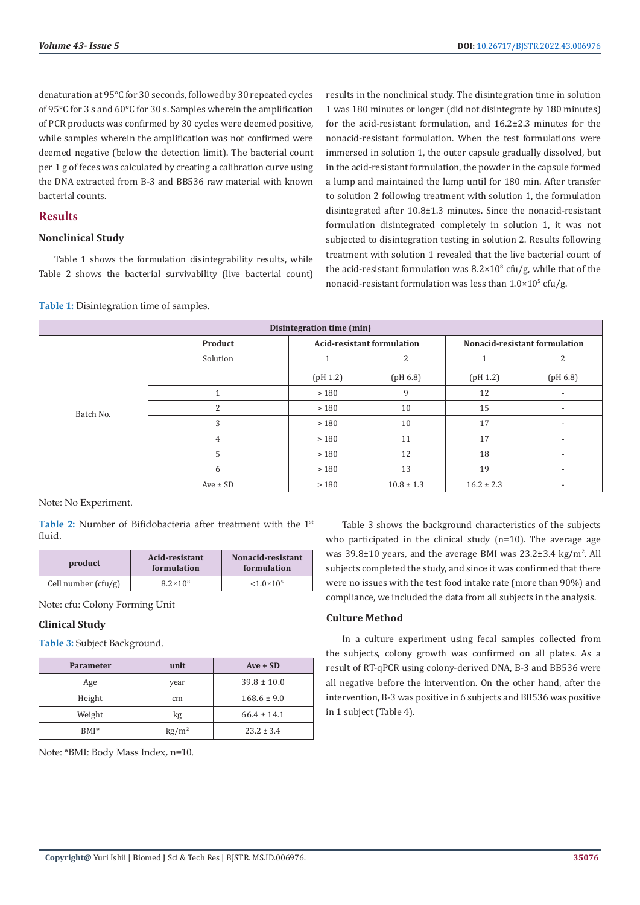denaturation at 95°C for 30 seconds, followed by 30 repeated cycles of 95°C for 3 s and 60°C for 30 s. Samples wherein the amplification of PCR products was confirmed by 30 cycles were deemed positive, while samples wherein the amplification was not confirmed were deemed negative (below the detection limit). The bacterial count per 1 g of feces was calculated by creating a calibration curve using the DNA extracted from B-3 and BB536 raw material with known bacterial counts.

# **Results**

# **Nonclinical Study**

Table 1 shows the formulation disintegrability results, while Table 2 shows the bacterial survivability (live bacterial count) results in the nonclinical study. The disintegration time in solution 1 was 180 minutes or longer (did not disintegrate by 180 minutes) for the acid-resistant formulation, and 16.2±2.3 minutes for the nonacid-resistant formulation. When the test formulations were immersed in solution 1, the outer capsule gradually dissolved, but in the acid-resistant formulation, the powder in the capsule formed a lump and maintained the lump until for 180 min. After transfer to solution 2 following treatment with solution 1, the formulation disintegrated after 10.8±1.3 minutes. Since the nonacid-resistant formulation disintegrated completely in solution 1, it was not subjected to disintegration testing in solution 2. Results following treatment with solution 1 revealed that the live bacterial count of the acid-resistant formulation was  $8.2 \times 10^8$  cfu/g, while that of the nonacid-resistant formulation was less than  $1.0\times10^{5}$  cfu/g.

| Disintegration time (min) |                |                                   |                |                               |                          |
|---------------------------|----------------|-----------------------------------|----------------|-------------------------------|--------------------------|
|                           | Product        | <b>Acid-resistant formulation</b> |                | Nonacid-resistant formulation |                          |
|                           | Solution       |                                   | $\overline{2}$ |                               | 2                        |
|                           |                | (pH 1.2)                          | (pH 6.8)       | (pH 1.2)                      | (pH 6.8)                 |
|                           |                | >180                              | 9              | 12                            | $\overline{\phantom{a}}$ |
| Batch No.                 | 2              | >180                              | 10             | 15                            | $\overline{\phantom{a}}$ |
|                           | 3              | >180                              | 10             | 17                            | $\overline{\phantom{a}}$ |
|                           | $\overline{4}$ | >180                              | 11             | 17                            | $\overline{\phantom{a}}$ |
|                           | 5              | >180                              | 12             | 18                            | $\overline{\phantom{a}}$ |
|                           | 6              | >180                              | 13             | 19                            | $\overline{\phantom{a}}$ |
|                           | $Ave \pm SD$   | >180                              | $10.8 \pm 1.3$ | $16.2 \pm 2.3$                | $\overline{\phantom{a}}$ |

**Table 1:** Disintegration time of samples.

Note: No Experiment.

Table 2: Number of Bifidobacteria after treatment with the 1<sup>st</sup> fluid.

| product               | Acid-resistant<br>formulation | Nonacid-resistant<br>formulation |  |
|-----------------------|-------------------------------|----------------------------------|--|
| Cell number $(cfu/g)$ | $8.2 \times 10^8$             | $< 1.0 \times 10^{5}$            |  |

Note: cfu: Colony Forming Unit

# **Clinical Study**

**Table 3:** Subject Background.

| <b>Parameter</b> | unit                   | $Ave + SD$      |
|------------------|------------------------|-----------------|
| Age              | year                   | $39.8 \pm 10.0$ |
| Height           | cm                     | $168.6 \pm 9.0$ |
| Weight           | kg                     | $66.4 \pm 14.1$ |
| $BMI^*$          | $\text{kg}/\text{m}^2$ | $23.2 \pm 3.4$  |

Note: \*BMI: Body Mass Index, n=10.

Table 3 shows the background characteristics of the subjects who participated in the clinical study (n=10). The average age was  $39.8\pm10$  years, and the average BMI was  $23.2\pm3.4$  kg/m<sup>2</sup>. All subjects completed the study, and since it was confirmed that there were no issues with the test food intake rate (more than 90%) and compliance, we included the data from all subjects in the analysis.

# **Culture Method**

In a culture experiment using fecal samples collected from the subjects, colony growth was confirmed on all plates. As a result of RT-qPCR using colony-derived DNA, B-3 and BB536 were all negative before the intervention. On the other hand, after the intervention, B-3 was positive in 6 subjects and BB536 was positive in 1 subject (Table 4).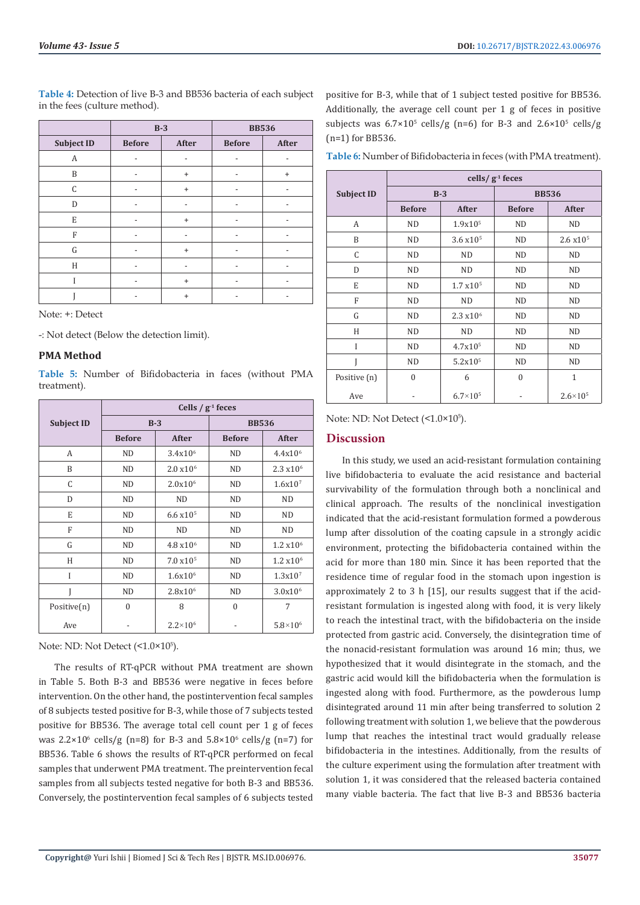**Table 4:** Detection of live B-3 and BB536 bacteria of each subject in the fees (culture method).

**Subject ID Before After Before After** A - - - - - - -B | - | + | - | + C - + - -

**B-3 BB536**

| E |  |  |
|---|--|--|
| Е |  |  |
|   |  |  |
| Н |  |  |
|   |  |  |
|   |  |  |

Note: +: Detect

-: Not detect (Below the detection limit).

# **PMA Method**

**Table 5:** Number of Bifidobacteria in faces (without PMA treatment).

|                   | Cells / $g-1$ feces |                       |               |                     |  |
|-------------------|---------------------|-----------------------|---------------|---------------------|--|
| <b>Subject ID</b> | $B-3$               |                       | <b>BB536</b>  |                     |  |
|                   | <b>Before</b>       | After                 | <b>Before</b> | After               |  |
| A                 | <b>ND</b>           | $3.4x10^{6}$          | <b>ND</b>     | 4.4x10 <sup>6</sup> |  |
| B                 | ND.                 | 2.0 x 10 <sup>6</sup> | ND.           | $2.3 \times 10^{6}$ |  |
| C                 | <b>ND</b>           | 2.0x10 <sup>6</sup>   | <b>ND</b>     | 1.6x10 <sup>7</sup> |  |
| D                 | ND                  | ND                    | <b>ND</b>     | <b>ND</b>           |  |
| E                 | <b>ND</b>           | $6.6 \times 10^{5}$   | <b>ND</b>     | <b>ND</b>           |  |
| F                 | <b>ND</b>           | <b>ND</b>             | <b>ND</b>     | <b>ND</b>           |  |
| G                 | ND.                 | $4.8 \times 10^{6}$   | ND.           | $1.2 \times 10^6$   |  |
| H                 | <b>ND</b>           | 7.0 x10 <sup>5</sup>  | <b>ND</b>     | $1.2 \times 10^6$   |  |
| I                 | <b>ND</b>           | $1.6x10^{6}$          | ND.           | 1.3x10 <sup>7</sup> |  |
| Ī                 | <b>ND</b>           | 2.8x10 <sup>6</sup>   | <b>ND</b>     | $3.0x10^{6}$        |  |
| Positive(n)       | 0                   | 8                     | $\theta$      | 7                   |  |
| Ave               |                     | $2.2 \times 10^{6}$   |               | $5.8 \times 10^{6}$ |  |

Note: ND: Not Detect (<1.0×10<sup>5</sup>).

The results of RT-qPCR without PMA treatment are shown in Table 5. Both B-3 and BB536 were negative in feces before intervention. On the other hand, the postintervention fecal samples of 8 subjects tested positive for B-3, while those of 7 subjects tested positive for BB536. The average total cell count per 1 g of feces was  $2.2 \times 10^6$  cells/g (n=8) for B-3 and  $5.8 \times 10^6$  cells/g (n=7) for BB536. Table 6 shows the results of RT-qPCR performed on fecal samples that underwent PMA treatment. The preintervention fecal samples from all subjects tested negative for both B-3 and BB536. Conversely, the postintervention fecal samples of 6 subjects tested

positive for B-3, while that of 1 subject tested positive for BB536. Additionally, the average cell count per 1 g of feces in positive subjects was  $6.7 \times 10^5$  cells/g (n=6) for B-3 and  $2.6 \times 10^5$  cells/g (n=1) for BB536.

**Table 6:** Number of Bifidobacteria in feces (with PMA treatment).

**cells/ g-1 feces**

| G                                                                    | ND                                                              | 2.3 x10 <sup>6</sup> | ND               | ND                  |  |
|----------------------------------------------------------------------|-----------------------------------------------------------------|----------------------|------------------|---------------------|--|
| H                                                                    | ND                                                              | <b>ND</b>            | ND               | ND                  |  |
| I                                                                    | ND                                                              | 4.7x10 <sup>5</sup>  | ND               | ND                  |  |
| J                                                                    | <b>ND</b>                                                       | 5.2x10 <sup>5</sup>  | ND               | ND.                 |  |
| Positive (n)                                                         | $\boldsymbol{0}$                                                | 6                    | $\boldsymbol{0}$ | 1                   |  |
| Ave                                                                  |                                                                 | $6.7\times10^{5}$    | $\frac{1}{2}$    | $2.6 \times 10^{5}$ |  |
| Note: ND: Not Detect $($ <1.0 $\times$ 10 $^{5}$ ).                  |                                                                 |                      |                  |                     |  |
| <b>Discussion</b>                                                    |                                                                 |                      |                  |                     |  |
|                                                                      |                                                                 |                      |                  |                     |  |
|                                                                      | In this study, we used an acid-resistant formulation containing |                      |                  |                     |  |
| live bifidobacteria to evaluate the acid resistance and bacterial    |                                                                 |                      |                  |                     |  |
| survivability of the formulation through both a nonclinical and      |                                                                 |                      |                  |                     |  |
| clinical approach. The results of the nonclinical investigation      |                                                                 |                      |                  |                     |  |
| indicated that the acid-resistant formulation formed a powderous     |                                                                 |                      |                  |                     |  |
| lump after dissolution of the coating capsule in a strongly acidic   |                                                                 |                      |                  |                     |  |
| environment, protecting the bifidobacteria contained within the      |                                                                 |                      |                  |                     |  |
| acid for more than 180 min. Since it has been reported that the      |                                                                 |                      |                  |                     |  |
| residence time of regular food in the stomach upon ingestion is      |                                                                 |                      |                  |                     |  |
| approximately 2 to 3 h [15], our results suggest that if the acid-   |                                                                 |                      |                  |                     |  |
| resistant formulation is ingested along with food, it is very likely |                                                                 |                      |                  |                     |  |
| to reach the intestinal tract, with the bifidobacteria on the inside |                                                                 |                      |                  |                     |  |
| protected from gastric acid. Conversely, the disintegration time of  |                                                                 |                      |                  |                     |  |
| the nonacid-resistant formulation was around 16 min; thus, we        |                                                                 |                      |                  |                     |  |
|                                                                      | hypothesized that it would disintegrate in the stomach, and the |                      |                  |                     |  |
| gastric acid would kill the bifidobacteria when the formulation is   |                                                                 |                      |                  |                     |  |
| ingested along with food. Furthermore, as the powderous lump         |                                                                 |                      |                  |                     |  |
| disintegrated around 11 min after being transferred to solution 2    |                                                                 |                      |                  |                     |  |
| following treatment with solution 1, we believe that the powderous   |                                                                 |                      |                  |                     |  |
| lump that reaches the intestinal tract would gradually release       |                                                                 |                      |                  |                     |  |
| bifidobacteria in the intestines. Additionally, from the results of  |                                                                 |                      |                  |                     |  |
| the culture experiment using the formulation after treatment with    |                                                                 |                      |                  |                     |  |
| solution 1, it was considered that the released bacteria contained   |                                                                 |                      |                  |                     |  |
| many viable bacteria. The fact that live B-3 and BB536 bacteria      |                                                                 |                      |                  |                     |  |
|                                                                      |                                                                 |                      |                  |                     |  |

|                   | $\frac{1}{2}$<br><u>recen</u> |                      |                  |                     |  |  |
|-------------------|-------------------------------|----------------------|------------------|---------------------|--|--|
| <b>Subject ID</b> | $B-3$                         |                      | <b>BB536</b>     |                     |  |  |
|                   | <b>Before</b>                 | After                | <b>Before</b>    | After               |  |  |
| A                 | <b>ND</b>                     | 1.9x10 <sup>5</sup>  | <b>ND</b>        | <b>ND</b>           |  |  |
| B                 | <b>ND</b>                     | $3.6 \times 10^{5}$  | <b>ND</b>        | $2.6 \times 10^{5}$ |  |  |
| C                 | <b>ND</b>                     | <b>ND</b>            | <b>ND</b>        | <b>ND</b>           |  |  |
| D                 | ND                            | <b>ND</b>            | <b>ND</b>        | <b>ND</b>           |  |  |
| E                 | <b>ND</b>                     | $1.7 \times 10^{5}$  | <b>ND</b>        | <b>ND</b>           |  |  |
| F                 | <b>ND</b>                     | <b>ND</b>            | <b>ND</b>        | <b>ND</b>           |  |  |
| G                 | ND                            | 2.3 x10 <sup>6</sup> | <b>ND</b>        | ND                  |  |  |
| H                 | <b>ND</b>                     | <b>ND</b>            | <b>ND</b>        | <b>ND</b>           |  |  |
| I                 | ND                            | 4.7x10 <sup>5</sup>  | <b>ND</b>        | <b>ND</b>           |  |  |
|                   | <b>ND</b>                     | 5.2x10 <sup>5</sup>  | <b>ND</b>        | <b>ND</b>           |  |  |
| Positive (n)      | $\mathbf{0}$                  | 6                    | $\boldsymbol{0}$ | $\mathbf{1}$        |  |  |
| $\sim$            |                               | .                    |                  | .                   |  |  |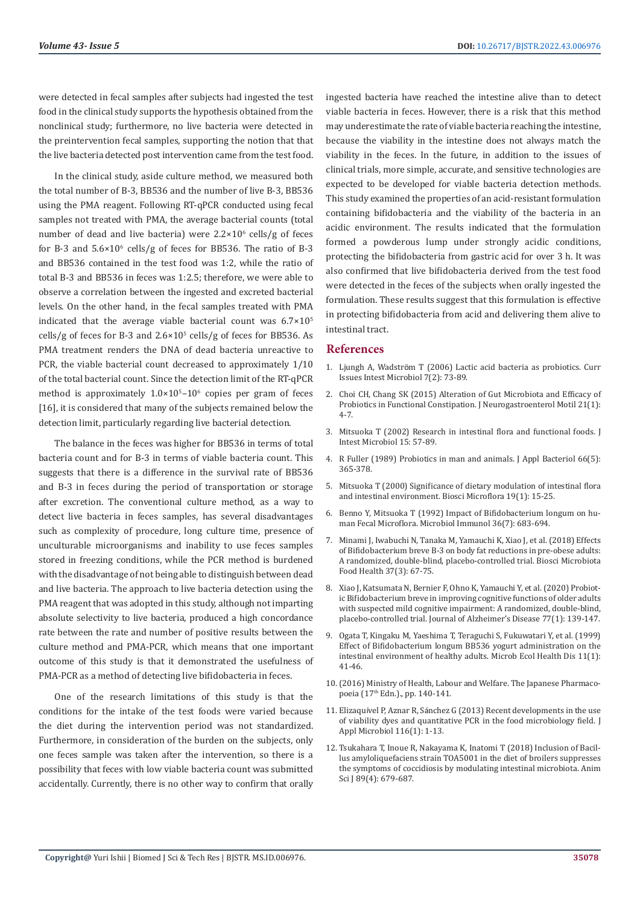were detected in fecal samples after subjects had ingested the test food in the clinical study supports the hypothesis obtained from the nonclinical study; furthermore, no live bacteria were detected in the preintervention fecal samples, supporting the notion that that the live bacteria detected post intervention came from the test food.

In the clinical study, aside culture method, we measured both the total number of B-3, BB536 and the number of live B-3, BB536 using the PMA reagent. Following RT-qPCR conducted using fecal samples not treated with PMA, the average bacterial counts (total number of dead and live bacteria) were  $2.2 \times 10^6$  cells/g of feces for B-3 and  $5.6 \times 10^6$  cells/g of feces for BB536. The ratio of B-3 and BB536 contained in the test food was 1:2, while the ratio of total B-3 and BB536 in feces was 1:2.5; therefore, we were able to observe a correlation between the ingested and excreted bacterial levels. On the other hand, in the fecal samples treated with PMA indicated that the average viable bacterial count was  $6.7 \times 10^5$ cells/g of feces for B-3 and  $2.6 \times 10^5$  cells/g of feces for BB536. As PMA treatment renders the DNA of dead bacteria unreactive to PCR, the viable bacterial count decreased to approximately 1/10 of the total bacterial count. Since the detection limit of the RT-qPCR method is approximately  $1.0 \times 10^{5} - 10^{6}$  copies per gram of feces [16], it is considered that many of the subjects remained below the detection limit, particularly regarding live bacterial detection.

The balance in the feces was higher for BB536 in terms of total bacteria count and for B-3 in terms of viable bacteria count. This suggests that there is a difference in the survival rate of BB536 and B-3 in feces during the period of transportation or storage after excretion. The conventional culture method, as a way to detect live bacteria in feces samples, has several disadvantages such as complexity of procedure, long culture time, presence of unculturable microorganisms and inability to use feces samples stored in freezing conditions, while the PCR method is burdened with the disadvantage of not being able to distinguish between dead and live bacteria. The approach to live bacteria detection using the PMA reagent that was adopted in this study, although not imparting absolute selectivity to live bacteria, produced a high concordance rate between the rate and number of positive results between the culture method and PMA-PCR, which means that one important outcome of this study is that it demonstrated the usefulness of PMA-PCR as a method of detecting live bifidobacteria in feces.

One of the research limitations of this study is that the conditions for the intake of the test foods were varied because the diet during the intervention period was not standardized. Furthermore, in consideration of the burden on the subjects, only one feces sample was taken after the intervention, so there is a possibility that feces with low viable bacteria count was submitted accidentally. Currently, there is no other way to confirm that orally

ingested bacteria have reached the intestine alive than to detect viable bacteria in feces. However, there is a risk that this method may underestimate the rate of viable bacteria reaching the intestine, because the viability in the intestine does not always match the viability in the feces. In the future, in addition to the issues of clinical trials, more simple, accurate, and sensitive technologies are expected to be developed for viable bacteria detection methods. This study examined the properties of an acid-resistant formulation containing bifidobacteria and the viability of the bacteria in an acidic environment. The results indicated that the formulation formed a powderous lump under strongly acidic conditions, protecting the bifidobacteria from gastric acid for over 3 h. It was also confirmed that live bifidobacteria derived from the test food were detected in the feces of the subjects when orally ingested the formulation. These results suggest that this formulation is effective in protecting bifidobacteria from acid and delivering them alive to intestinal tract.

#### **References**

- 1. Ljungh A, Wadströ[m T \(2006\) Lactic acid bacteria as probiotics. Curr](https://pubmed.ncbi.nlm.nih.gov/16875422/) [Issues Intest Microbiol 7\(2\): 73-89.](https://pubmed.ncbi.nlm.nih.gov/16875422/)
- 2. [Choi CH, Chang SK \(2015\) Alteration of Gut Microbiota and Efficacy of](https://pubmed.ncbi.nlm.nih.gov/25611063/) [Probiotics in Functional Constipation. J Neurogastroenterol Motil 21\(1\):](https://pubmed.ncbi.nlm.nih.gov/25611063/) [4-7.](https://pubmed.ncbi.nlm.nih.gov/25611063/)
- 3. [Mitsuoka T \(2002\) Research in intestinal flora and functional foods. J](https://www.researchgate.net/publication/313760521_Research_in_Intestinal_Flora_and_Functional_Foods) [Intest Microbiol 15: 57-89.](https://www.researchgate.net/publication/313760521_Research_in_Intestinal_Flora_and_Functional_Foods)
- 4. [R Fuller \(1989\) Probiotics in man and animals. J Appl Bacteriol 66\(5\):](https://pubmed.ncbi.nlm.nih.gov/2666378/) [365-378.](https://pubmed.ncbi.nlm.nih.gov/2666378/)
- 5. [Mitsuoka T \(2000\) Significance of dietary modulation of intestinal flora](https://www.researchgate.net/publication/272215268_Significance_of_Dietary_Modulation_of_Intestinal_Flora_and_Intestinal_Environment) [and intestinal environment. Biosci Microflora 19\(1\): 15-25.](https://www.researchgate.net/publication/272215268_Significance_of_Dietary_Modulation_of_Intestinal_Flora_and_Intestinal_Environment)
- 6. [Benno Y, Mitsuoka T \(1992\) Impact of Bifidobacterium longum on hu](https://pubmed.ncbi.nlm.nih.gov/1406371/)[man Fecal Microflora. Microbiol Immunol 36\(7\): 683-694.](https://pubmed.ncbi.nlm.nih.gov/1406371/)
- 7. [Minami J, Iwabuchi N, Tanaka M, Yamauchi K, Xiao J, et al. \(2018\) Effects](https://pubmed.ncbi.nlm.nih.gov/30094122/) [of Bifidobacterium breve B-3 on body fat reductions in pre-obese adults:](https://pubmed.ncbi.nlm.nih.gov/30094122/) [A randomized, double-blind, placebo-controlled trial. Biosci Microbiota](https://pubmed.ncbi.nlm.nih.gov/30094122/) [Food Health 37\(3\): 67-75.](https://pubmed.ncbi.nlm.nih.gov/30094122/)
- 8. [Xiao J, Katsumata N, Bernier F, Ohno K, Yamauchi Y, et al. \(2020\) Probiot](https://pubmed.ncbi.nlm.nih.gov/32623402/)[ic Bifidobacterium breve in improving cognitive functions of older adults](https://pubmed.ncbi.nlm.nih.gov/32623402/) [with suspected mild cognitive impairment: A randomized, double-blind,](https://pubmed.ncbi.nlm.nih.gov/32623402/) [placebo-controlled trial. Journal of Alzheimer's Disease 77\(1\): 139-147.](https://pubmed.ncbi.nlm.nih.gov/32623402/)
- 9. [Ogata T, Kingaku M, Yaeshima T, Teraguchi S, Fukuwatari Y, et al. \(1999\)](https://www.tandfonline.com/doi/abs/10.1080/089106099435916) [Effect of Bifidobacterium longum BB536 yogurt administration on the](https://www.tandfonline.com/doi/abs/10.1080/089106099435916) [intestinal environment of healthy adults. Microb Ecol Health Dis 11\(1\):](https://www.tandfonline.com/doi/abs/10.1080/089106099435916) [41-46.](https://www.tandfonline.com/doi/abs/10.1080/089106099435916)
- 10.[\(2016\) Ministry of Health, Labour and Welfare. The Japanese Pharmaco](https://www.pmda.go.jp/english/rs-sb-std/standards-development/jp/0019.html)poeia (17<sup>th</sup> Edn.)., pp. 140-141.
- 11. Elizaquível P, Aznar R, Sá[nchez G \(2013\) Recent developments in the use](https://pubmed.ncbi.nlm.nih.gov/24119073/) [of viability dyes and quantitative PCR in the food microbiology field. J](https://pubmed.ncbi.nlm.nih.gov/24119073/) [Appl Microbiol 116\(1\): 1-13.](https://pubmed.ncbi.nlm.nih.gov/24119073/)
- 12. [Tsukahara T, Inoue R, Nakayama K, Inatomi T \(2018\) Inclusion of Bacil](https://pubmed.ncbi.nlm.nih.gov/29282825/)[lus amyloliquefaciens strain TOA5001 in the diet of broilers suppresses](https://pubmed.ncbi.nlm.nih.gov/29282825/) [the symptoms of coccidiosis by modulating intestinal microbiota. Anim](https://pubmed.ncbi.nlm.nih.gov/29282825/) [Sci J 89\(4\): 679-687.](https://pubmed.ncbi.nlm.nih.gov/29282825/)